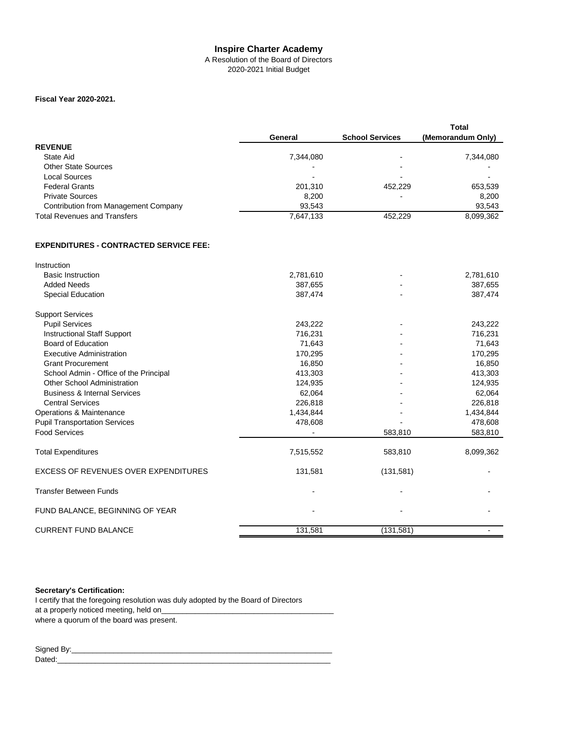## **Inspire Charter Academy**

#### A Resolution of the Board of Directors 2020-2021 Initial Budget

## **Fiscal Year 2020-2021.**

|                                             |                          |                          | <b>Total</b>      |
|---------------------------------------------|--------------------------|--------------------------|-------------------|
|                                             | General                  | <b>School Services</b>   | (Memorandum Only) |
| <b>REVENUE</b>                              |                          |                          |                   |
| State Aid                                   | 7.344.080                | $\overline{\phantom{0}}$ | 7,344,080         |
| <b>Other State Sources</b>                  | $\blacksquare$           | ۰                        |                   |
| Local Sources                               | $\overline{\phantom{0}}$ | -                        | -                 |
| <b>Federal Grants</b>                       | 201.310                  | 452.229                  | 653,539           |
| <b>Private Sources</b>                      | 8.200                    | ۰                        | 8.200             |
| <b>Contribution from Management Company</b> | 93.543                   |                          | 93,543            |
| <b>Total Revenues and Transfers</b>         | 7,647,133                | 452.229                  | 8,099,362         |

## **EXPENDITURES - CONTRACTED SERVICE FEE:**

| Instruction                                 |           |            |           |
|---------------------------------------------|-----------|------------|-----------|
| <b>Basic Instruction</b>                    | 2,781,610 |            | 2,781,610 |
| <b>Added Needs</b>                          | 387,655   |            | 387,655   |
| Special Education                           | 387,474   |            | 387,474   |
| <b>Support Services</b>                     |           |            |           |
| <b>Pupil Services</b>                       | 243,222   |            | 243,222   |
| <b>Instructional Staff Support</b>          | 716,231   |            | 716,231   |
| <b>Board of Education</b>                   | 71,643    |            | 71,643    |
| <b>Executive Administration</b>             | 170,295   |            | 170,295   |
| <b>Grant Procurement</b>                    | 16.850    |            | 16,850    |
| School Admin - Office of the Principal      | 413,303   |            | 413,303   |
| <b>Other School Administration</b>          | 124,935   |            | 124,935   |
| <b>Business &amp; Internal Services</b>     | 62,064    |            | 62,064    |
| <b>Central Services</b>                     | 226,818   |            | 226,818   |
| Operations & Maintenance                    | 1,434,844 |            | 1,434,844 |
| <b>Pupil Transportation Services</b>        | 478,608   |            | 478,608   |
| <b>Food Services</b>                        |           | 583,810    | 583,810   |
| <b>Total Expenditures</b>                   | 7,515,552 | 583,810    | 8,099,362 |
| <b>EXCESS OF REVENUES OVER EXPENDITURES</b> | 131,581   | (131,581)  |           |
| <b>Transfer Between Funds</b>               |           |            |           |
| FUND BALANCE, BEGINNING OF YEAR             |           |            |           |
| <b>CURRENT FUND BALANCE</b>                 | 131,581   | (131, 581) |           |
|                                             |           |            |           |

#### **Secretary's Certification:**

I certify that the foregoing resolution was duly adopted by the Board of Directors at a properly noticed meeting, held on\_ where a quorum of the board was present.

Signed By:\_\_\_\_\_\_\_\_\_\_\_\_\_\_\_\_\_\_\_\_\_\_\_\_\_\_\_\_\_\_\_\_\_\_\_\_\_\_\_\_\_\_\_\_\_\_\_\_\_\_\_\_\_\_\_\_\_\_\_\_\_\_ Dated:\_\_\_\_\_\_\_\_\_\_\_\_\_\_\_\_\_\_\_\_\_\_\_\_\_\_\_\_\_\_\_\_\_\_\_\_\_\_\_\_\_\_\_\_\_\_\_\_\_\_\_\_\_\_\_\_\_\_\_\_\_\_\_\_\_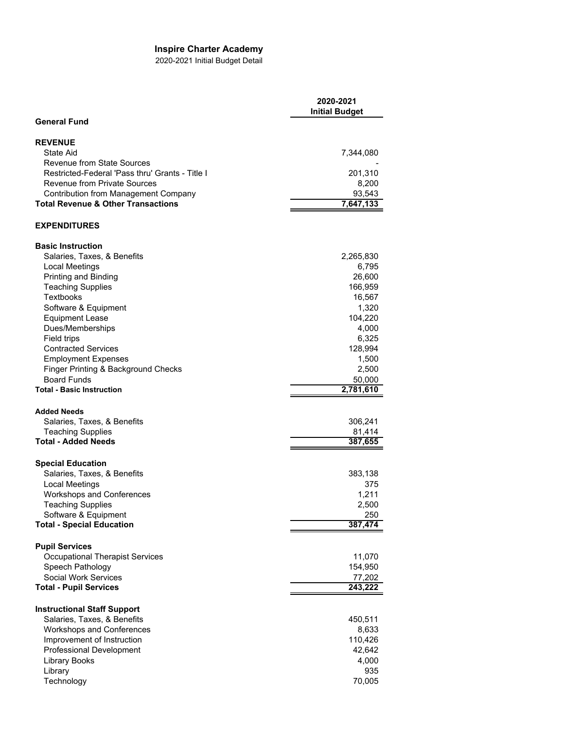# **Inspire Charter Academy**

2020-2021 Initial Budget Detail

|                                                                                              | 2020-2021<br><b>Initial Budget</b> |
|----------------------------------------------------------------------------------------------|------------------------------------|
| <b>General Fund</b>                                                                          |                                    |
| <b>REVENUE</b>                                                                               |                                    |
| State Aid                                                                                    | 7,344,080                          |
| <b>Revenue from State Sources</b>                                                            |                                    |
| Restricted-Federal 'Pass thru' Grants - Title I                                              | 201,310                            |
| <b>Revenue from Private Sources</b>                                                          | 8,200                              |
| <b>Contribution from Management Company</b><br><b>Total Revenue &amp; Other Transactions</b> | 93,543                             |
|                                                                                              | 7,647,133                          |
| <b>EXPENDITURES</b>                                                                          |                                    |
| <b>Basic Instruction</b>                                                                     |                                    |
| Salaries, Taxes, & Benefits                                                                  | 2,265,830                          |
| <b>Local Meetings</b>                                                                        | 6,795                              |
| Printing and Binding                                                                         | 26,600                             |
| <b>Teaching Supplies</b>                                                                     | 166,959                            |
| Textbooks                                                                                    | 16,567                             |
| Software & Equipment                                                                         | 1,320                              |
| <b>Equipment Lease</b><br>Dues/Memberships                                                   | 104,220<br>4,000                   |
| Field trips                                                                                  | 6,325                              |
| <b>Contracted Services</b>                                                                   | 128,994                            |
| <b>Employment Expenses</b>                                                                   | 1,500                              |
| Finger Printing & Background Checks                                                          | 2,500                              |
| <b>Board Funds</b>                                                                           | 50,000                             |
| <b>Total - Basic Instruction</b>                                                             | 2,781,610                          |
|                                                                                              |                                    |
| <b>Added Needs</b>                                                                           |                                    |
| Salaries, Taxes, & Benefits<br><b>Teaching Supplies</b>                                      | 306,241<br>81,414                  |
| <b>Total - Added Needs</b>                                                                   | 387,655                            |
|                                                                                              |                                    |
| <b>Special Education</b>                                                                     |                                    |
| Salaries, Taxes, & Benefits                                                                  | 383,138                            |
| <b>Local Meetings</b>                                                                        | 375                                |
| <b>Workshops and Conferences</b>                                                             | 1,211                              |
| <b>Teaching Supplies</b>                                                                     | 2,500                              |
| Software & Equipment<br><b>Total - Special Education</b>                                     | 250<br>387,474                     |
|                                                                                              |                                    |
| <b>Pupil Services</b>                                                                        |                                    |
| <b>Occupational Therapist Services</b>                                                       | 11,070                             |
| Speech Pathology                                                                             | 154,950                            |
| Social Work Services                                                                         | 77,202                             |
| <b>Total - Pupil Services</b>                                                                | 243,222                            |
| <b>Instructional Staff Support</b>                                                           |                                    |
| Salaries, Taxes, & Benefits                                                                  | 450,511                            |
| <b>Workshops and Conferences</b>                                                             | 8,633                              |
| Improvement of Instruction                                                                   | 110,426                            |
| Professional Development                                                                     | 42,642                             |
| Library Books                                                                                | 4,000                              |
| Library                                                                                      | 935                                |
| Technology                                                                                   | 70,005                             |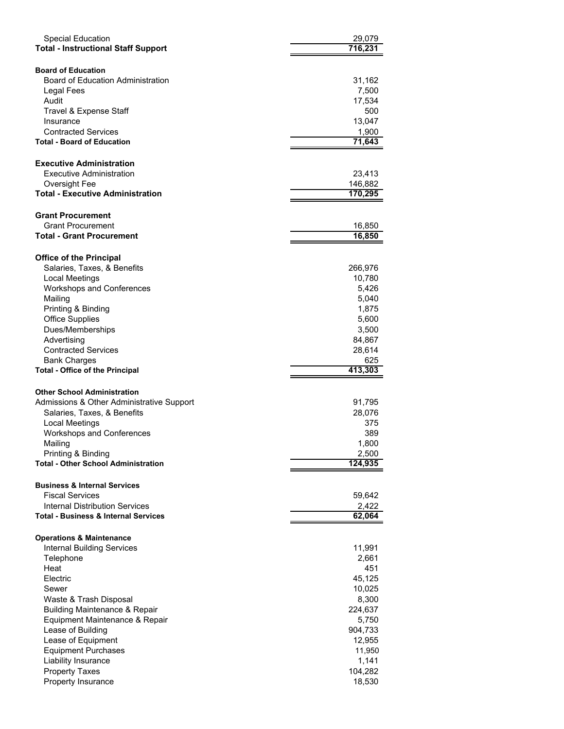| <b>Special Education</b><br><b>Total - Instructional Staff Support</b>              | 29,079<br>716,231         |
|-------------------------------------------------------------------------------------|---------------------------|
| <b>Board of Education</b><br><b>Board of Education Administration</b><br>Legal Fees | 31,162<br>7,500           |
| Audit<br>Travel & Expense Staff                                                     | 17,534<br>500             |
| Insurance<br><b>Contracted Services</b><br><b>Total - Board of Education</b>        | 13,047<br>1,900<br>71,643 |
|                                                                                     |                           |
| <b>Executive Administration</b><br>Executive Administration                         | 23,413                    |
| Oversight Fee<br><b>Total - Executive Administration</b>                            | 146,882<br>170,295        |
| <b>Grant Procurement</b><br><b>Grant Procurement</b>                                |                           |
| Total - Grant Procurement                                                           | 16,850<br>16,850          |
|                                                                                     |                           |
| <b>Office of the Principal</b>                                                      |                           |
| Salaries, Taxes, & Benefits                                                         | 266,976                   |
| <b>Local Meetings</b>                                                               | 10,780                    |
| Workshops and Conferences<br>Mailing                                                | 5,426<br>5,040            |
| Printing & Binding                                                                  | 1,875                     |
| <b>Office Supplies</b>                                                              | 5,600                     |
| Dues/Memberships                                                                    | 3,500                     |
| Advertising                                                                         | 84,867                    |
| <b>Contracted Services</b>                                                          | 28,614                    |
| <b>Bank Charges</b><br><b>Total - Office of the Principal</b>                       | 625<br>413,303            |
|                                                                                     |                           |
| <b>Other School Administration</b>                                                  |                           |
| Admissions & Other Administrative Support                                           | 91,795                    |
| Salaries, Taxes, & Benefits                                                         | 28,076                    |
| <b>Local Meetings</b>                                                               | 375                       |
| Workshops and Conferences                                                           | 389                       |
| Mailing                                                                             | 1,800                     |
| Printing & Binding<br><b>Total - Other School Administration</b>                    | 2,500<br>124,935          |
|                                                                                     |                           |
| <b>Business &amp; Internal Services</b><br><b>Fiscal Services</b>                   | 59,642                    |
| Internal Distribution Services                                                      | 2,422                     |
| <b>Total - Business &amp; Internal Services</b>                                     | 62,064                    |
| <b>Operations &amp; Maintenance</b>                                                 |                           |
| <b>Internal Building Services</b>                                                   | 11,991                    |
| Telephone                                                                           | 2,661                     |
| Heat                                                                                | 451                       |
| Electric                                                                            | 45,125                    |
| Sewer                                                                               | 10,025                    |
| Waste & Trash Disposal<br><b>Building Maintenance &amp; Repair</b>                  | 8,300<br>224,637          |
| Equipment Maintenance & Repair                                                      | 5,750                     |
| Lease of Building                                                                   | 904,733                   |
| Lease of Equipment                                                                  | 12,955                    |
| <b>Equipment Purchases</b>                                                          | 11,950                    |
| Liability Insurance                                                                 | 1,141                     |
| <b>Property Taxes</b>                                                               | 104,282                   |
| Property Insurance                                                                  | 18,530                    |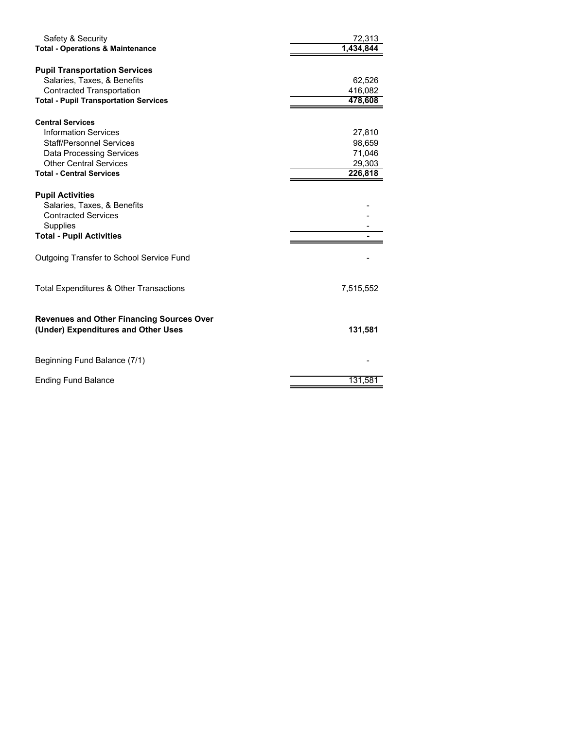| Safety & Security<br><b>Total - Operations &amp; Maintenance</b> | 72,313<br>1,434,844 |
|------------------------------------------------------------------|---------------------|
| <b>Pupil Transportation Services</b>                             |                     |
| Salaries, Taxes, & Benefits                                      | 62,526              |
| <b>Contracted Transportation</b>                                 | 416,082             |
| <b>Total - Pupil Transportation Services</b>                     | 478,608             |
| <b>Central Services</b>                                          |                     |
| <b>Information Services</b>                                      | 27,810              |
| <b>Staff/Personnel Services</b>                                  | 98,659              |
| <b>Data Processing Services</b>                                  | 71,046              |
| <b>Other Central Services</b>                                    | 29,303              |
| <b>Total - Central Services</b>                                  | 226,818             |
|                                                                  |                     |
| <b>Pupil Activities</b>                                          |                     |
| Salaries, Taxes, & Benefits<br><b>Contracted Services</b>        |                     |
| <b>Supplies</b>                                                  |                     |
| <b>Total - Pupil Activities</b>                                  |                     |
|                                                                  |                     |
| Outgoing Transfer to School Service Fund                         |                     |
| Total Expenditures & Other Transactions                          | 7,515,552           |
|                                                                  |                     |
| <b>Revenues and Other Financing Sources Over</b>                 |                     |
| (Under) Expenditures and Other Uses                              | 131,581             |
| Beginning Fund Balance (7/1)                                     |                     |
|                                                                  |                     |
| <b>Ending Fund Balance</b>                                       | 131.581             |